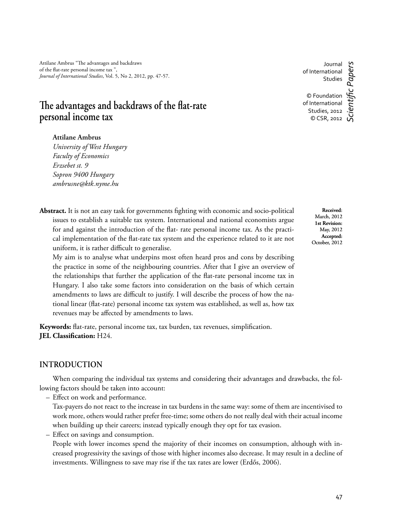Attilane Ambrus "The advantages and backdraws of the flat-rate personal income tax", *Journal of International Studies*, Vol. 5, No 2, 2012, pp. 47-57.

# The advantages and backdraws of the flat-rate **personal income tax**

### **Attilane Ambrus**

*University of West Hungary Faculty of Economics Erzsebet st. 9 Sopron 9400 Hungary ambrusne@ktk.nyme.hu*

Abstract. It is not an easy task for governments fighting with economic and socio-political issues to establish a suitable tax system. International and national economists argue for and against the introduction of the flat- rate personal income tax. As the practical implementation of the flat-rate tax system and the experience related to it are not uniform, it is rather difficult to generalise.

My aim is to analyse what underpins most often heard pros and cons by describing the practice in some of the neighbouring countries. After that I give an overview of the relationships that further the application of the flat-rate personal income tax in Hungary. I also take some factors into consideration on the basis of which certain amendments to laws are difficult to justify. I will describe the process of how the national linear (flat-rate) personal income tax system was established, as well as, how tax revenues may be affected by amendments to laws.

Keywords: flat-rate, personal income tax, tax burden, tax revenues, simplification. **JEL Classification:** H24.

## **INTRODUCTION**

When comparing the individual tax systems and considering their advantages and drawbacks, the following factors should be taken into account:

– Effect on work and performance.

Tax-payers do not react to the increase in tax burdens in the same way: some of them are incentivised to work more, others would rather prefer free-time; some others do not really deal with their actual income when building up their careers; instead typically enough they opt for tax evasion.

– Effect on savings and consumption.

People with lower incomes spend the majority of their incomes on consumption, although with increased progressivity the savings of those with higher incomes also decrease. It may result in a decline of investments. Willingness to save may rise if the tax rates are lower (Erdős, 2006).

**Received**: March, 2012 **1st Revision:**  May, 2012 **Accepted:**  October, 2012

Journal of International Studies © Foundation of International Studies, 2012 © CSR, 2012 *Scientifi c Papers*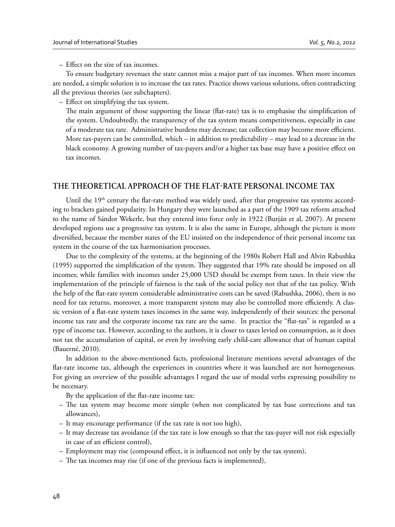$-$  Effect on the size of tax incomes.

To ensure budgetary revenues the state cannot miss a major part of tax incomes. When more incomes are needed, a simple solution is to increase the tax rates. Practice shows various solutions, often contradicting all the previous theories (see subchapters).

– Effect on simplifying the tax system.

The main argument of those supporting the linear (flat-rate) tax is to emphasise the simplification of the system. Undoubtedly, the transparency of the tax system means competitiveness, especially in case of a moderate tax rate. Administrative burdens may decrease; tax collection may become more efficient. More tax-payers can be controlled, which – in addition to predictability – may lead to a decrease in the black economy. A growing number of tax-payers and/or a higher tax base may have a positive effect on tax incomes.

## **THE THEORETICAL APPROACH OF THE FLATRATE PERSONAL INCOME TAX**

Until the  $19<sup>th</sup>$  century the flat-rate method was widely used, after that progressive tax systems according to brackets gained popularity. In Hungary they were launched as a part of the 1909 tax reform attached to the name of Sándor Wekerle, but they entered into force only in 1922 (Burján et al, 2007). At present developed regions use a progressive tax system. It is also the same in Europe, although the picture is more diversified, because the member states of the EU insisted on the independence of their personal income tax system in the course of the tax harmonisation processes.

Due to the complexity of the systems, at the beginning of the 1980s Robert Hall and Alvin Rabushka (1995) supported the simplification of the system. They suggested that 19% rate should be imposed on all incomes; while families with incomes under 25,000 USD should be exempt from taxes. In their view the implementation of the principle of fairness is the task of the social policy not that of the tax policy. With the help of the flat-rate system considerable administrative costs can be saved (Rabushka, 2006), there is no need for tax returns, moreover, a more transparent system may also be controlled more efficiently. A classic version of a flat-rate system taxes incomes in the same way, independently of their sources: the personal income tax rate and the corporate income tax rate are the same. In practice the "flat-tax" is regarded as a type of income tax. However, according to the authors, it is closer to taxes levied on consumption, as it does not tax the accumulation of capital, or even by involving early child-care allowance that of human capital (Bauerné, 2010).

In addition to the above-mentioned facts, professional literature mentions several advantages of the flat-rate income tax, although the experiences in countries where it was launched are not homogeneous. For giving an overview of the possible advantages I regard the use of modal verbs expressing possibility to be necessary.

By the application of the flat-rate income tax:

- $-$  The tax system may become more simple (when not complicated by tax base corrections and tax allowances),
- It may encourage performance (if the tax rate is not too high),
- It may decrease tax avoidance (if the tax rate is low enough so that the tax-payer will not risk especially in case of an efficient control),
- Employment may rise (compound effect, it is influenced not only by the tax system),
- $-$  The tax incomes may rise (if one of the previous facts is implemented),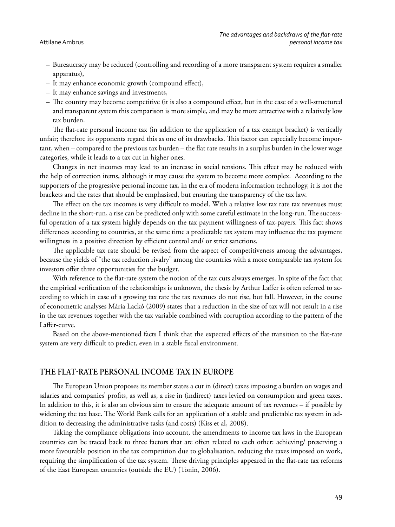- Bureaucracy may be reduced (controlling and recording of a more transparent system requires a smaller apparatus),
- $-$  It may enhance economic growth (compound effect),
- It may enhance savings and investments,
- The country may become competitive (it is also a compound effect, but in the case of a well-structured and transparent system this comparison is more simple, and may be more attractive with a relatively low tax burden.

The flat-rate personal income tax (in addition to the application of a tax exempt bracket) is vertically unfair; therefore its opponents regard this as one of its drawbacks. This factor can especially become important, when – compared to the previous tax burden – the flat rate results in a surplus burden in the lower wage categories, while it leads to a tax cut in higher ones.

Changes in net incomes may lead to an increase in social tensions. This effect may be reduced with the help of correction items, although it may cause the system to become more complex. According to the supporters of the progressive personal income tax, in the era of modern information technology, it is not the brackets and the rates that should be emphasised, but ensuring the transparency of the tax law.

The effect on the tax incomes is very difficult to model. With a relative low tax rate tax revenues must decline in the short-run, a rise can be predicted only with some careful estimate in the long-run. The successful operation of a tax system highly depends on the tax payment willingness of tax-payers. This fact shows differences according to countries, at the same time a predictable tax system may influence the tax payment willingness in a positive direction by efficient control and/ or strict sanctions.

The applicable tax rate should be revised from the aspect of competitiveness among the advantages, because the yields of "the tax reduction rivalry" among the countries with a more comparable tax system for investors offer three opportunities for the budget.

With reference to the flat-rate system the notion of the tax cuts always emerges. In spite of the fact that the empirical verification of the relationships is unknown, the thesis by Arthur Laffer is often referred to according to which in case of a growing tax rate the tax revenues do not rise, but fall. However, in the course of econometric analyses Mária Lackó (2009) states that a reduction in the size of tax will not result in a rise in the tax revenues together with the tax variable combined with corruption according to the pattern of the Laffer-curve.

Based on the above-mentioned facts I think that the expected effects of the transition to the flat-rate system are very difficult to predict, even in a stable fiscal environment.

### THE FLAT-RATE PERSONAL INCOME TAX IN EUROPE

The European Union proposes its member states a cut in (direct) taxes imposing a burden on wages and salaries and companies' profits, as well as, a rise in (indirect) taxes levied on consumption and green taxes. In addition to this, it is also an obvious aim to ensure the adequate amount of tax revenues – if possible by widening the tax base. The World Bank calls for an application of a stable and predictable tax system in addition to decreasing the administrative tasks (and costs) (Kiss et al, 2008).

Taking the compliance obligations into account, the amendments to income tax laws in the European countries can be traced back to three factors that are often related to each other: achieving/ preserving a more favourable position in the tax competition due to globalisation, reducing the taxes imposed on work, requiring the simplification of the tax system. These driving principles appeared in the flat-rate tax reforms of the East European countries (outside the EU) (Tonin, 2006).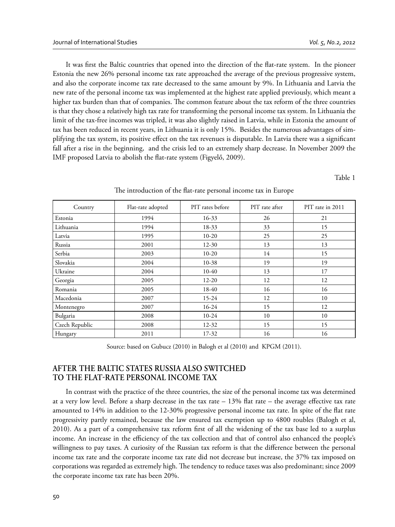It was first the Baltic countries that opened into the direction of the flat-rate system. In the pioneer Estonia the new 26% personal income tax rate approached the average of the previous progressive system, and also the corporate income tax rate decreased to the same amount by 9%. In Lithuania and Latvia the new rate of the personal income tax was implemented at the highest rate applied previously, which meant a higher tax burden than that of companies. The common feature about the tax reform of the three countries is that they chose a relatively high tax rate for transforming the personal income tax system. In Lithuania the limit of the tax-free incomes was tripled, it was also slightly raised in Latvia, while in Estonia the amount of tax has been reduced in recent years, in Lithuania it is only 15%. Besides the numerous advantages of simplifying the tax system, its positive effect on the tax revenues is disputable. In Latvia there was a significant fall after a rise in the beginning, and the crisis led to an extremely sharp decrease. In November 2009 the IMF proposed Latvia to abolish the flat-rate system (Figyelő, 2009).

Table 1

| Country        | Flat-rate adopted | PIT rates before | PIT rate after | PIT rate in 2011 |
|----------------|-------------------|------------------|----------------|------------------|
| Estonia        | 1994              | $16 - 33$        | 26             | 21               |
| Lithuania      | 1994              | $18-33$          | 33             | 15               |
| Latvia         | 1995              | $10 - 20$        | 25             | 25               |
| Russia         | 2001              | $12 - 30$        | 13             | 13               |
| Serbia         | 2003              | $10 - 20$        | 14             | 15               |
| Slovakia       | 2004              | $10 - 38$        | 19             | 19               |
| Ukraine        | 2004              | $10-40$          | 13             | 17               |
| Georgia        | 2005              | $12 - 20$        | 12             | 12               |
| Romania        | 2005              | 18-40            | 16             | 16               |
| Macedonia      | 2007              | $15 - 24$        | 12             | 10               |
| Montenegro     | 2007              | $16-24$          | 15             | 12               |
| Bulgaria       | 2008              | $10-24$          | 10             | 10               |
| Czech Republic | 2008              | $12 - 32$        | 15             | 15               |
| Hungary        | 2011              | $17 - 32$        | 16             | 16               |

The introduction of the flat-rate personal income tax in Europe

Source: based on Gubucz (2010) in Balogh et al (2010) and KPGM (2011).

# **AFTER THE BALTIC STATES RUSSIA ALSO SWITCHED**  TO THE FLAT-RATE PERSONAL INCOME TAX

In contrast with the practice of the three countries, the size of the personal income tax was determined at a very low level. Before a sharp decrease in the tax rate  $-13\%$  flat rate  $-$  the average effective tax rate amounted to 14% in addition to the 12-30% progressive personal income tax rate. In spite of the flat rate progressivity partly remained, because the law ensured tax exemption up to 4800 roubles (Balogh et al, 2010). As a part of a comprehensive tax reform first of all the widening of the tax base led to a surplus income. An increase in the efficiency of the tax collection and that of control also enhanced the people's willingness to pay taxes. A curiosity of the Russian tax reform is that the difference between the personal income tax rate and the corporate income tax rate did not decrease but increase, the 37% tax imposed on corporations was regarded as extremely high. The tendency to reduce taxes was also predominant; since 2009 the corporate income tax rate has been 20%.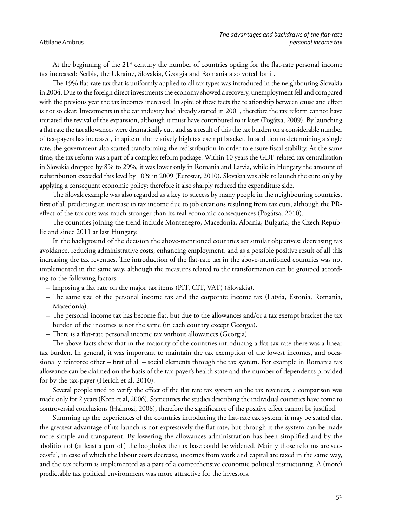At the beginning of the  $21<sup>st</sup>$  century the number of countries opting for the flat-rate personal income tax increased: Serbia, the Ukraine, Slovakia, Georgia and Romania also voted for it.

The 19% flat-rate tax that is uniformly applied to all tax types was introduced in the neighbouring Slovakia in 2004. Due to the foreign direct investments the economy showed a recovery, unemployment fell and compared with the previous year the tax incomes increased. In spite of these facts the relationship between cause and effect is not so clear. Investments in the car industry had already started in 2001, therefore the tax reform cannot have initiated the revival of the expansion, although it must have contributed to it later (Pogátsa, 2009). By launching a flat rate the tax allowances were dramatically cut, and as a result of this the tax burden on a considerable number of tax-payers has increased, in spite of the relatively high tax exempt bracket. In addition to determining a single rate, the government also started transforming the redistribution in order to ensure fiscal stability. At the same time, the tax reform was a part of a complex reform package. Within 10 years the GDP-related tax centralisation in Slovakia dropped by 8% to 29%, it was lower only in Romania and Latvia, while in Hungary the amount of redistribution exceeded this level by 10% in 2009 (Eurostat, 2010). Slovakia was able to launch the euro only by applying a consequent economic policy; therefore it also sharply reduced the expenditure side.

The Slovak example was also regarded as a key to success by many people in the neighbouring countries, first of all predicting an increase in tax income due to job creations resulting from tax cuts, although the PReffect of the tax cuts was much stronger than its real economic consequences (Pogátsa, 2010).

The countries joining the trend include Montenegro, Macedonia, Albania, Bulgaria, the Czech Republic and since 2011 at last Hungary.

In the background of the decision the above-mentioned countries set similar objectives: decreasing tax avoidance, reducing administrative costs, enhancing employment, and as a possible positive result of all this increasing the tax revenues. The introduction of the flat-rate tax in the above-mentioned countries was not implemented in the same way, although the measures related to the transformation can be grouped according to the following factors:

- Imposing a flat rate on the major tax items (PIT, CIT, VAT) (Slovakia).
- The same size of the personal income tax and the corporate income tax (Latvia, Estonia, Romania, Macedonia).
- $-$  The personal income tax has become flat, but due to the allowances and/or a tax exempt bracket the tax burden of the incomes is not the same (in each country except Georgia).
- $-$  There is a flat-rate personal income tax without allowances (Georgia).

The above facts show that in the majority of the countries introducing a flat tax rate there was a linear tax burden. In general, it was important to maintain the tax exemption of the lowest incomes, and occasionally reinforce other – first of all – social elements through the tax system. For example in Romania tax allowance can be claimed on the basis of the tax-payer's health state and the number of dependents provided for by the tax-payer (Herich et al, 2010).

Several people tried to verify the effect of the flat rate tax system on the tax revenues, a comparison was made only for 2 years (Keen et al, 2006). Sometimes the studies describing the individual countries have come to controversial conclusions (Halmosi, 2008), therefore the significance of the positive effect cannot be justified.

Summing up the experiences of the countries introducing the flat-rate tax system, it may be stated that the greatest advantage of its launch is not expressively the flat rate, but through it the system can be made more simple and transparent. By lowering the allowances administration has been simplified and by the abolition of (at least a part of) the loopholes the tax base could be widened. Mainly those reforms are successful, in case of which the labour costs decrease, incomes from work and capital are taxed in the same way, and the tax reform is implemented as a part of a comprehensive economic political restructuring. A (more) predictable tax political environment was more attractive for the investors.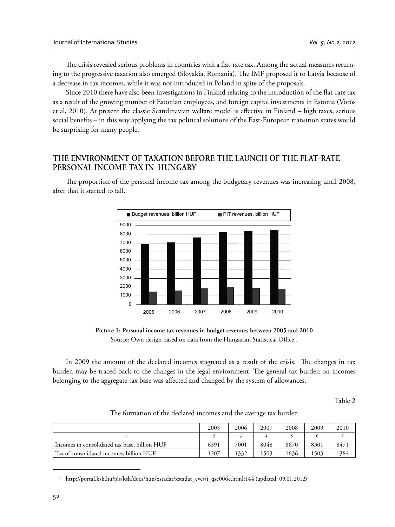The crisis revealed serious problems in countries with a flat-rate tax. Among the actual measures returning to the progressive taxation also emerged (Slovakia, Romania). The IMF proposed it to Latvia because of a decrease in tax incomes, while it was not introduced in Poland in spite of the proposals.

Since 2010 there have also been investigations in Finland relating to the introduction of the flat-rate tax as a result of the growing number of Estonian employees, and foreign capital investments in Estonia (Vörös et al, 2010). At present the classic Scandinavian welfare model is effective in Finland – high taxes, serious social benefits – in this way applying the tax political solutions of the East-European transition states would be surprising for many people.

# **THE ENVIRONMENT OF TAXATION BEFORE THE LAUNCH OF THE FLATRATE PERSONAL INCOME TAX IN HUNGARY**

The proportion of the personal income tax among the budgetary revenues was increasing until 2008, after that it started to fall.



**Picture 1: Personal income tax revenues in budget revenues between 2005 and 2010** Source: Own design based on data from the Hungarian Statistical Office<sup>1</sup>.

In 2009 the amount of the declared incomes stagnated as a result of the crisis. The changes in tax burden may be traced back to the changes in the legal environment. The general tax burden on incomes belonging to the aggregate tax base was affected and changed by the system of allowances.

Table 2

|                                               | 2005 | 2006 | 2007 | 2008 | 2009 | 2010 |
|-----------------------------------------------|------|------|------|------|------|------|
|                                               |      |      |      |      |      |      |
| Incomes in consolidated tax base, billion HUF | 6391 | 7001 | 8048 | 8670 | 8301 | 8471 |
| Tax of consolidated incomes, billion HUF      | 1207 | 1332 | 1503 | 1636 | 1503 | 1384 |

The formation of the declared incomes and the average tax burden

<sup>1</sup> http://portal.ksh.hu/pls/ksh/docs/hun/xstadat/xstadat\_eves/i\_qse006c.html?144 (updated: 09.01.2012)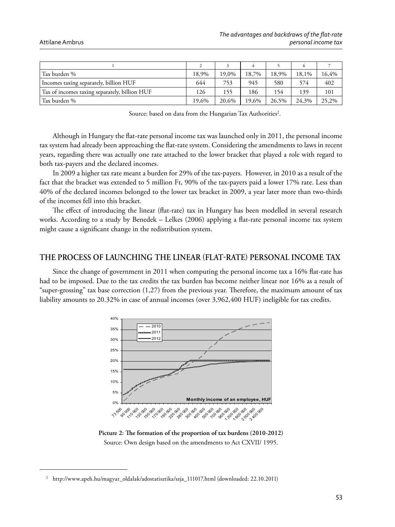#### Attilane Ambrus

| Tax burden %                                  | 18.9% | 19,0% | 18,7% | 18,9% | 18,1% | 16,4% |
|-----------------------------------------------|-------|-------|-------|-------|-------|-------|
| Incomes taxing separately, billion HUF        | 644   | 753   | 945   | 580   | 574   | 402   |
| Tax of incomes taxing separately, billion HUF | 126   | 155   | 186   | 154   | 139   | 101   |
| Tax burden %                                  | 19.6% | 20.6% | 19.6% | 26,5% | 24,3% | 25,2% |

Source: based on data from the Hungarian Tax Authorities<sup>2</sup>.

Although in Hungary the flat-rate personal income tax was launched only in 2011, the personal income tax system had already been approaching the flat-rate system. Considering the amendments to laws in recent years, regarding there was actually one rate attached to the lower bracket that played a role with regard to both tax-payers and the declared incomes.

In 2009 a higher tax rate meant a burden for 29% of the tax-payers. However, in 2010 as a result of the fact that the bracket was extended to 5 million Ft, 90% of the tax-payers paid a lower 17% rate. Less than 40% of the declared incomes belonged to the lower tax bracket in 2009, a year later more than two-thirds of the incomes fell into this bracket.

The effect of introducing the linear (flat-rate) tax in Hungary has been modelled in several research works. According to a study by Benedek – Lelkes (2006) applying a flat-rate personal income tax system might cause a significant change in the redistribution system.

# **THE PROCESS OF LAUNCHING THE LINEAR FLATRATE PERSONAL INCOME TAX**

Since the change of government in 2011 when computing the personal income tax a 16% flat-rate has had to be imposed. Due to the tax credits the tax burden has become neither linear nor 16% as a result of "super-grossing" tax base correction  $(1,27)$  from the previous year. Therefore, the maximum amount of tax liability amounts to 20.32% in case of annual incomes (over 3,962,400 HUF) ineligible for tax credits.



Picture 2: The formation of the proportion of tax burdens (2010-2012) Source: Own design based on the amendments to Act CXVII/ 1995.

<sup>2</sup> http://www.apeh.hu/magyar\_oldalak/adostatisztika/szja\_111017.html (downloaded: 22.10.2011)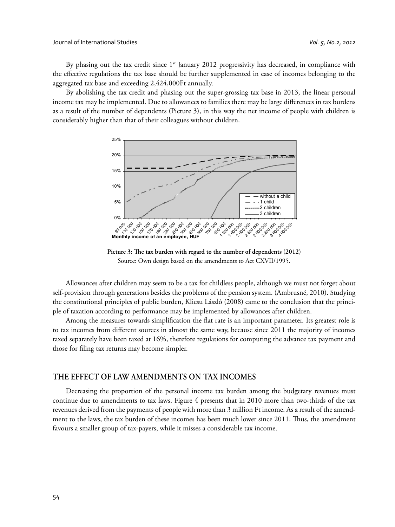By phasing out the tax credit since  $1<sup>st</sup>$  January 2012 progressivity has decreased, in compliance with the effective regulations the tax base should be further supplemented in case of incomes belonging to the aggregated tax base and exceeding 2,424,000Ft annually.

By abolishing the tax credit and phasing out the super-grossing tax base in 2013, the linear personal income tax may be implemented. Due to allowances to families there may be large differences in tax burdens as a result of the number of dependents (Picture 3), in this way the net income of people with children is considerably higher than that of their colleagues without children.



Picture 3: The tax burden with regard to the number of dependents (2012) Source: Own design based on the amendments to Act CXVII/1995.

Allowances after children may seem to be a tax for childless people, although we must not forget about self-provision through generations besides the problems of the pension system. (Ambrusné, 2010). Studying the constitutional principles of public burden, Klicsu László (2008) came to the conclusion that the principle of taxation according to performance may be implemented by allowances after children.

Among the measures towards simplification the flat rate is an important parameter. Its greatest role is to tax incomes from different sources in almost the same way, because since 2011 the majority of incomes taxed separately have been taxed at 16%, therefore regulations for computing the advance tax payment and those for filing tax returns may become simpler.

### **THE EFFECT OF LAW AMENDMENTS ON TAX INCOMES**

Decreasing the proportion of the personal income tax burden among the budgetary revenues must continue due to amendments to tax laws. Figure 4 presents that in 2010 more than two-thirds of the tax revenues derived from the payments of people with more than 3 million Ft income. As a result of the amendment to the laws, the tax burden of these incomes has been much lower since 2011. Thus, the amendment favours a smaller group of tax-payers, while it misses a considerable tax income.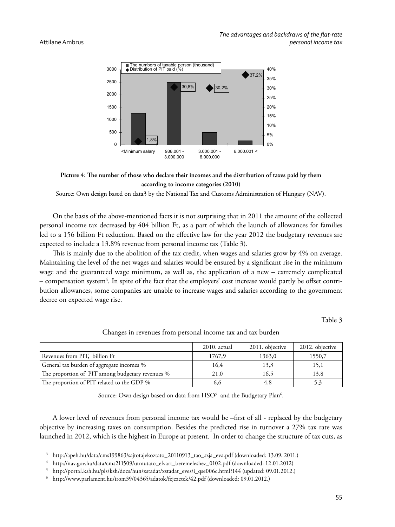



Source: Own design based on data3 by the National Tax and Customs Administration of Hungary (NAV).

On the basis of the above-mentioned facts it is not surprising that in 2011 the amount of the collected personal income tax decreased by 404 billion Ft, as a part of which the launch of allowances for families led to a 156 billion Ft reduction. Based on the effective law for the year 2012 the budgetary revenues are expected to include a 13.8% revenue from personal income tax (Table 3).

This is mainly due to the abolition of the tax credit, when wages and salaries grow by 4% on average. Maintaining the level of the net wages and salaries would be ensured by a significant rise in the minimum wage and the guaranteed wage minimum, as well as, the application of a new – extremely complicated – compensation system<sup>4</sup>. In spite of the fact that the employers' cost increase would partly be offset contribution allowances, some companies are unable to increase wages and salaries according to the government decree on expected wage rise.

Table 3

|                                                  | $2010.$ actual | 2011. objective | 2012. objective |
|--------------------------------------------------|----------------|-----------------|-----------------|
| Revenues from PIT, billion Ft                    | 1767,9         | 1363,0          | 1550,7          |
| General tax burden of aggregate incomes %        | 16.4           | 13,3            | 15,1            |
| The proportion of PIT among budgetary revenues % | 21,0           | 16,5            | 13,8            |
| The proportion of PIT related to the GDP %       | 6,6            | 4,8             |                 |

Changes in revenues from personal income tax and tax burden

Source: Own design based on data from  $\mathrm{HSO}^5\;$  and the Budgetary Plan $^6\;$ 

A lower level of revenues from personal income tax would be –first of all - replaced by the budgetary objective by increasing taxes on consumption. Besides the predicted rise in turnover a 27% tax rate was launched in 2012, which is the highest in Europe at present. In order to change the structure of tax cuts, as

<sup>3</sup> http://apeh.hu/data/cms199863/sajtotajekoztato\_20110913\_tao\_szja\_eva.pdf (downloaded: 13.09. 2011.)

<sup>4</sup> http://nav.gov.hu/data/cms211509/utmutato\_elvart\_beremeleshez\_0102.pdf (downloaded: 12.01.2012)

<sup>5</sup> http://portal.ksh.hu/pls/ksh/docs/hun/xstadat/xstadat\_eves/i\_qse006c.html?144 (updated: 09.01.2012.)

<sup>6</sup> http://www.parlament.hu/irom39/04365/adatok/fejezetek/42.pdf (downloaded: 09.01.2012.)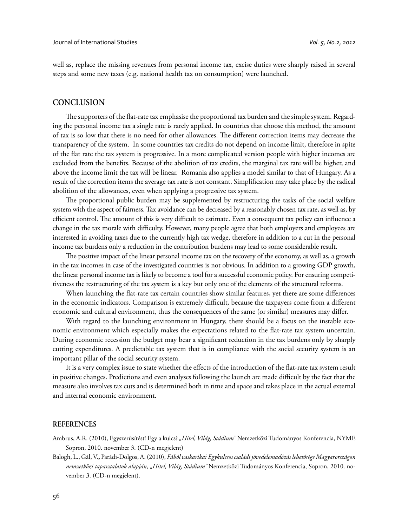well as, replace the missing revenues from personal income tax, excise duties were sharply raised in several steps and some new taxes (e.g. national health tax on consumption) were launched.

### **CONCLUSION**

The supporters of the flat-rate tax emphasise the proportional tax burden and the simple system. Regarding the personal income tax a single rate is rarely applied. In countries that choose this method, the amount of tax is so low that there is no need for other allowances. The different correction items may decrease the transparency of the system. In some countries tax credits do not depend on income limit, therefore in spite of the flat rate the tax system is progressive. In a more complicated version people with higher incomes are excluded from the benefits. Because of the abolition of tax credits, the marginal tax rate will be higher, and above the income limit the tax will be linear. Romania also applies a model similar to that of Hungary. As a result of the correction items the average tax rate is not constant. Simplification may take place by the radical abolition of the allowances, even when applying a progressive tax system.

The proportional public burden may be supplemented by restructuring the tasks of the social welfare system with the aspect of fairness. Tax avoidance can be decreased by a reasonably chosen tax rate, as well as, by efficient control. The amount of this is very difficult to estimate. Even a consequent tax policy can influence a change in the tax morale with difficulty. However, many people agree that both employers and employees are interested in avoiding taxes due to the currently high tax wedge, therefore in addition to a cut in the personal income tax burdens only a reduction in the contribution burdens may lead to some considerable result.

The positive impact of the linear personal income tax on the recovery of the economy, as well as, a growth in the tax incomes in case of the investigated countries is not obvious. In addition to a growing GDP growth, the linear personal income tax is likely to become a tool for a successful economic policy. For ensuring competitiveness the restructuring of the tax system is a key but only one of the elements of the structural reforms.

When launching the flat-rate tax certain countries show similar features, yet there are some differences in the economic indicators. Comparison is extremely difficult, because the taxpayers come from a different economic and cultural environment, thus the consequences of the same (or similar) measures may differ.

With regard to the launching environment in Hungary, there should be a focus on the instable economic environment which especially makes the expectations related to the flat-rate tax system uncertain. During economic recession the budget may bear a significant reduction in the tax burdens only by sharply cutting expenditures. A predictable tax system that is in compliance with the social security system is an important pillar of the social security system.

It is a very complex issue to state whether the effects of the introduction of the flat-rate tax system result in positive changes. Predictions and even analyses following the launch are made difficult by the fact that the measure also involves tax cuts and is determined both in time and space and takes place in the actual external and internal economic environment.

#### **REFERENCES**

- Ambrus, A.R. (2010), Egyszerűsítést! Egy a kulcs? "Hitel, Világ, Stádium" Nemzetközi Tudományos Konferencia, NYME Sopron, 2010. november 3. (CD-n megjelent)
- Balogh, L., Gál, V.**,** Parádi-Dolgos, A. (2010), *Fából vaskarika? Egykulcsos családi jövedelemadózás lehetősége Magyarországon nemzetközi tapasztalatok alapján*, *"Hitel, Világ, Stádium"* Nemzetközi Tudományos Konferencia, Sopron, 2010. november 3. (CD-n megjelent).